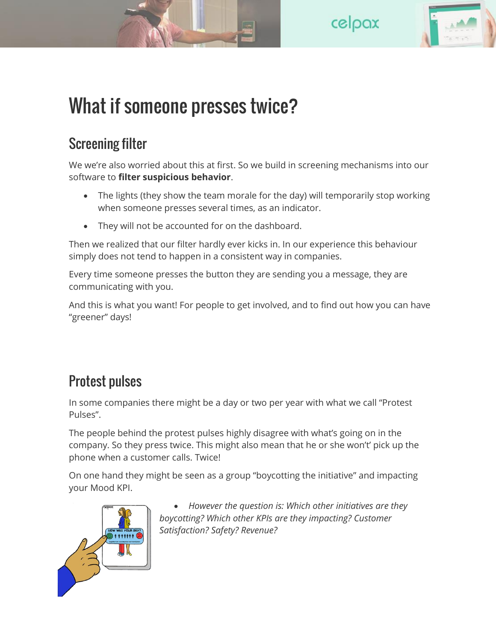



## What if someone presses twice?

## Screening filter

We we're also worried about this at first. So we build in screening mechanisms into our software to **filter suspicious behavior**.

- The lights (they show the team morale for the day) will temporarily stop working when someone presses several times, as an indicator.
- They will not be accounted for on the dashboard.

Then we realized that our filter hardly ever kicks in. In our experience this behaviour simply does not tend to happen in a consistent way in companies.

Every time someone presses the button they are sending you a message, they are communicating with you.

And this is what you want! For people to get involved, and to find out how you can have "greener" days!

## Protest pulses

In some companies there might be a day or two per year with what we call "Protest Pulses".

The people behind the protest pulses highly disagree with what's going on in the company. So they press twice. This might also mean that he or she won't' pick up the phone when a customer calls. Twice!

On one hand they might be seen as a group "boycotting the initiative" and impacting your Mood KPI.



 *However the question is: Which other initiatives are they boycotting? Which other KPIs are they impacting? Customer Satisfaction? Safety? Revenue?*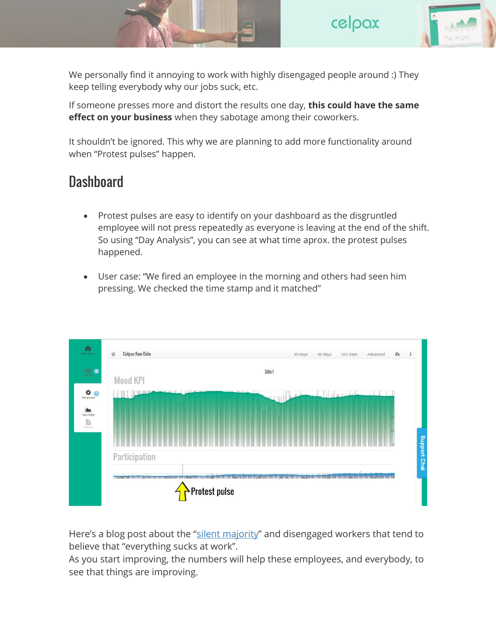

We personally find it annoying to work with highly disengaged people around :) They keep telling everybody why our jobs suck, etc.

If someone presses more and distort the results one day, **this could have the same effect on your business** when they sabotage among their coworkers.

It shouldn't be ignored. This why we are planning to add more functionality around when "Protest pulses" happen.

## **Dashboard**

- Protest pulses are easy to identify on your dashboard as the disgruntled employee will not press repeatedly as everyone is leaving at the end of the shift. So using "Day Analysis", you can see at what time aprox. the protest pulses happened.
- User case: "We fired an employee in the morning and others had seen him pressing. We checked the time stamp and it matched"



Here's a blog post about the "silent [majority](http://www.celpax.com/two-buttons-employee-feedback/)" and disengaged workers that tend to believe that "everything sucks at work".

As you start improving, the numbers will help these employees, and everybody, to see that things are improving.